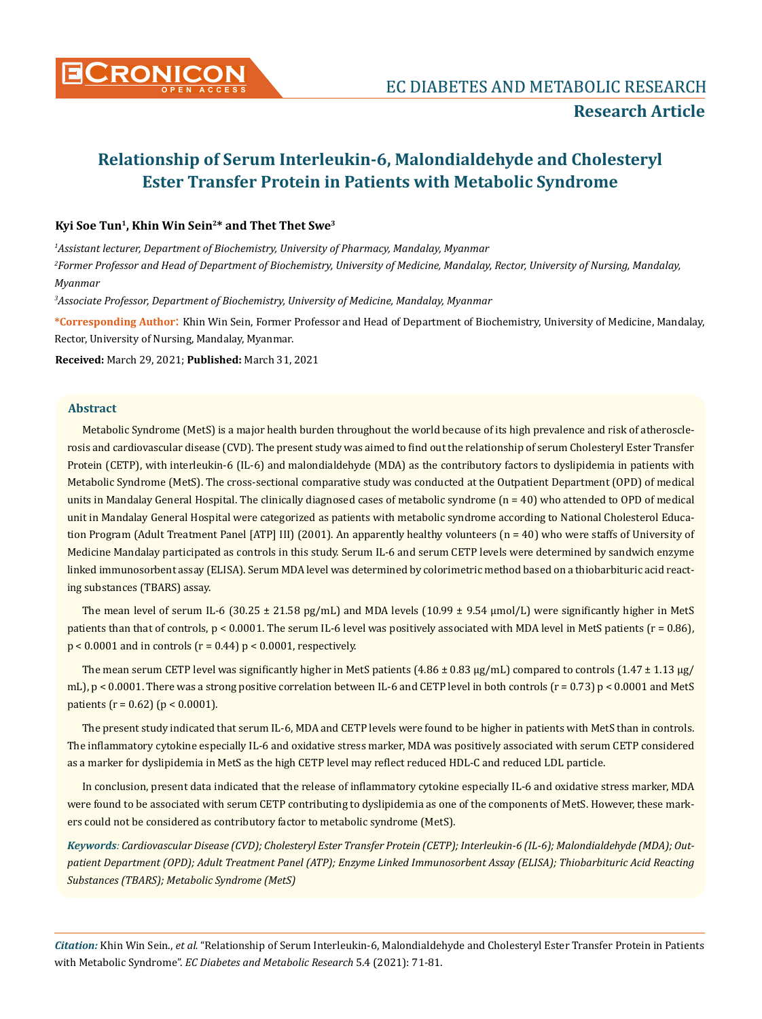

## **Kyi Soe Tun1, Khin Win Sein2\* and Thet Thet Swe3**

*1 Assistant lecturer, Department of Biochemistry, University of Pharmacy, Mandalay, Myanmar*

*2 Former Professor and Head of Department of Biochemistry, University of Medicine, Mandalay, Rector, University of Nursing, Mandalay, Myanmar*

*3 Associate Professor, Department of Biochemistry, University of Medicine, Mandalay, Myanmar*

**\*Corresponding Author**: Khin Win Sein, Former Professor and Head of Department of Biochemistry, University of Medicine, Mandalay, Rector, University of Nursing, Mandalay, Myanmar.

**Received:** March 29, 2021; **Published:** March 31, 2021

## **Abstract**

Metabolic Syndrome (MetS) is a major health burden throughout the world because of its high prevalence and risk of atherosclerosis and cardiovascular disease (CVD). The present study was aimed to find out the relationship of serum Cholesteryl Ester Transfer Protein (CETP), with interleukin-6 (IL-6) and malondialdehyde (MDA) as the contributory factors to dyslipidemia in patients with Metabolic Syndrome (MetS). The cross-sectional comparative study was conducted at the Outpatient Department (OPD) of medical units in Mandalay General Hospital. The clinically diagnosed cases of metabolic syndrome  $(n = 40)$  who attended to OPD of medical unit in Mandalay General Hospital were categorized as patients with metabolic syndrome according to National Cholesterol Education Program (Adult Treatment Panel [ATP] III) (2001). An apparently healthy volunteers (n = 40) who were staffs of University of Medicine Mandalay participated as controls in this study. Serum IL-6 and serum CETP levels were determined by sandwich enzyme linked immunosorbent assay (ELISA). Serum MDA level was determined by colorimetric method based on a thiobarbituric acid reacting substances (TBARS) assay.

The mean level of serum IL-6 (30.25  $\pm$  21.58 pg/mL) and MDA levels (10.99  $\pm$  9.54 µmol/L) were significantly higher in MetS patients than that of controls, p < 0.0001. The serum IL-6 level was positively associated with MDA level in MetS patients (r = 0.86),  $p < 0.0001$  and in controls ( $r = 0.44$ )  $p < 0.0001$ , respectively.

The mean serum CETP level was significantly higher in MetS patients  $(4.86 \pm 0.83 \mu g/mL)$  compared to controls  $(1.47 \pm 1.13 \mu g/L)$ mL),  $p < 0.0001$ . There was a strong positive correlation between IL-6 and CETP level in both controls (r = 0.73) p < 0.0001 and MetS patients ( $r = 0.62$ ) ( $p < 0.0001$ ).

The present study indicated that serum IL-6, MDA and CETP levels were found to be higher in patients with MetS than in controls. The inflammatory cytokine especially IL-6 and oxidative stress marker, MDA was positively associated with serum CETP considered as a marker for dyslipidemia in MetS as the high CETP level may reflect reduced HDL-C and reduced LDL particle.

In conclusion, present data indicated that the release of inflammatory cytokine especially IL-6 and oxidative stress marker, MDA were found to be associated with serum CETP contributing to dyslipidemia as one of the components of MetS. However, these markers could not be considered as contributory factor to metabolic syndrome (MetS).

*Keywords: Cardiovascular Disease (CVD); Cholesteryl Ester Transfer Protein (CETP); Interleukin-6 (IL-6); Malondialdehyde (MDA); Outpatient Department (OPD); Adult Treatment Panel (ATP); Enzyme Linked Immunosorbent Assay (ELISA); Thiobarbituric Acid Reacting Substances (TBARS); Metabolic Syndrome (MetS)*

*Citation:* Khin Win Sein., *et al.* "Relationship of Serum Interleukin-6, Malondialdehyde and Cholesteryl Ester Transfer Protein in Patients with Metabolic Syndrome". *EC Diabetes and Metabolic Research* 5.4 (2021): 71-81.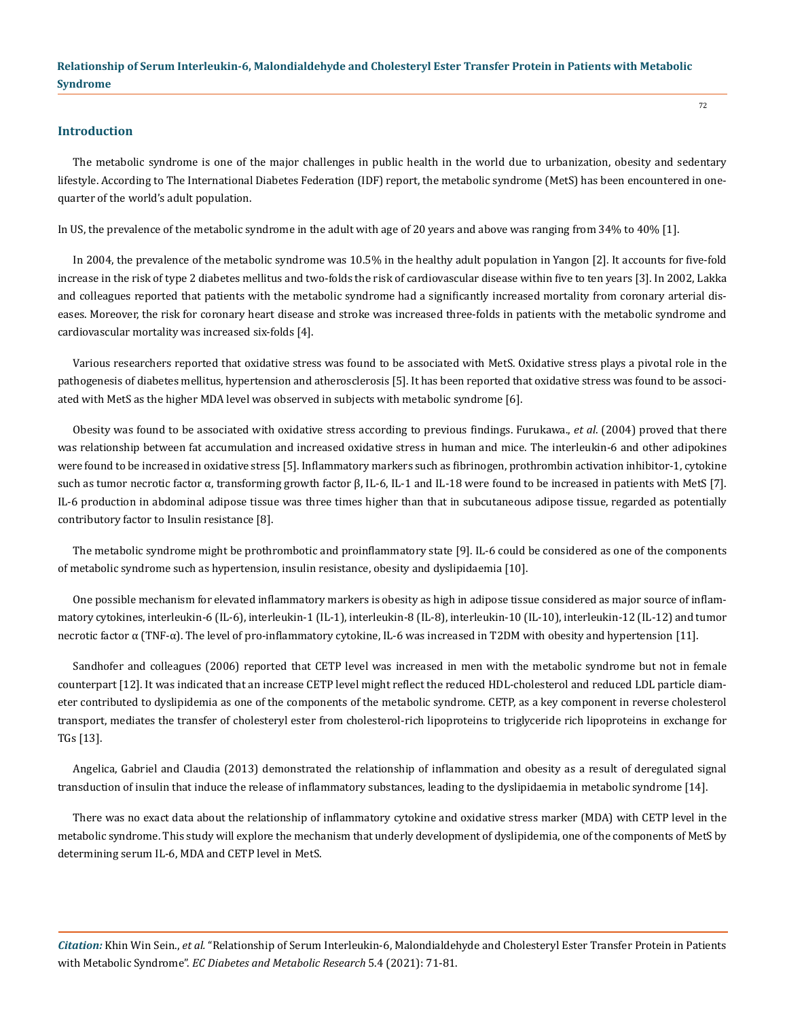#### **Introduction**

The metabolic syndrome is one of the major challenges in public health in the world due to urbanization, obesity and sedentary lifestyle. According to The International Diabetes Federation (IDF) report, the metabolic syndrome (MetS) has been encountered in onequarter of the world's adult population.

In US, the prevalence of the metabolic syndrome in the adult with age of 20 years and above was ranging from 34% to 40% [1].

In 2004, the prevalence of the metabolic syndrome was 10.5% in the healthy adult population in Yangon [2]. It accounts for five-fold increase in the risk of type 2 diabetes mellitus and two-folds the risk of cardiovascular disease within five to ten years [3]. In 2002, Lakka and colleagues reported that patients with the metabolic syndrome had a significantly increased mortality from coronary arterial diseases. Moreover, the risk for coronary heart disease and stroke was increased three-folds in patients with the metabolic syndrome and cardiovascular mortality was increased six-folds [4].

Various researchers reported that oxidative stress was found to be associated with MetS. Oxidative stress plays a pivotal role in the pathogenesis of diabetes mellitus, hypertension and atherosclerosis [5]. It has been reported that oxidative stress was found to be associated with MetS as the higher MDA level was observed in subjects with metabolic syndrome [6].

Obesity was found to be associated with oxidative stress according to previous findings. Furukawa., *et al*. (2004) proved that there was relationship between fat accumulation and increased oxidative stress in human and mice. The interleukin-6 and other adipokines were found to be increased in oxidative stress [5]. Inflammatory markers such as fibrinogen, prothrombin activation inhibitor-1, cytokine such as tumor necrotic factor α, transforming growth factor  $β$ , IL-6, IL-1 and IL-18 were found to be increased in patients with MetS [7]. IL-6 production in abdominal adipose tissue was three times higher than that in subcutaneous adipose tissue, regarded as potentially contributory factor to Insulin resistance [8].

The metabolic syndrome might be prothrombotic and proinflammatory state [9]. IL-6 could be considered as one of the components of metabolic syndrome such as hypertension, insulin resistance, obesity and dyslipidaemia [10].

One possible mechanism for elevated inflammatory markers is obesity as high in adipose tissue considered as major source of inflammatory cytokines, interleukin-6 (IL-6), interleukin-1 (IL-1), interleukin-8 (IL-8), interleukin-10 (IL-10), interleukin-12 (IL-12) and tumor necrotic factor α (TNF-α). The level of pro-inflammatory cytokine, IL-6 was increased in T2DM with obesity and hypertension [11].

Sandhofer and colleagues (2006) reported that CETP level was increased in men with the metabolic syndrome but not in female counterpart [12]. It was indicated that an increase CETP level might reflect the reduced HDL-cholesterol and reduced LDL particle diameter contributed to dyslipidemia as one of the components of the metabolic syndrome. CETP, as a key component in reverse cholesterol transport, mediates the transfer of cholesteryl ester from cholesterol-rich lipoproteins to triglyceride rich lipoproteins in exchange for TGs [13].

Angelica, Gabriel and Claudia (2013) demonstrated the relationship of inflammation and obesity as a result of deregulated signal transduction of insulin that induce the release of inflammatory substances, leading to the dyslipidaemia in metabolic syndrome [14].

There was no exact data about the relationship of inflammatory cytokine and oxidative stress marker (MDA) with CETP level in the metabolic syndrome. This study will explore the mechanism that underly development of dyslipidemia, one of the components of MetS by determining serum IL-6, MDA and CETP level in MetS.

*Citation:* Khin Win Sein., *et al.* "Relationship of Serum Interleukin-6, Malondialdehyde and Cholesteryl Ester Transfer Protein in Patients with Metabolic Syndrome". *EC Diabetes and Metabolic Research* 5.4 (2021): 71-81.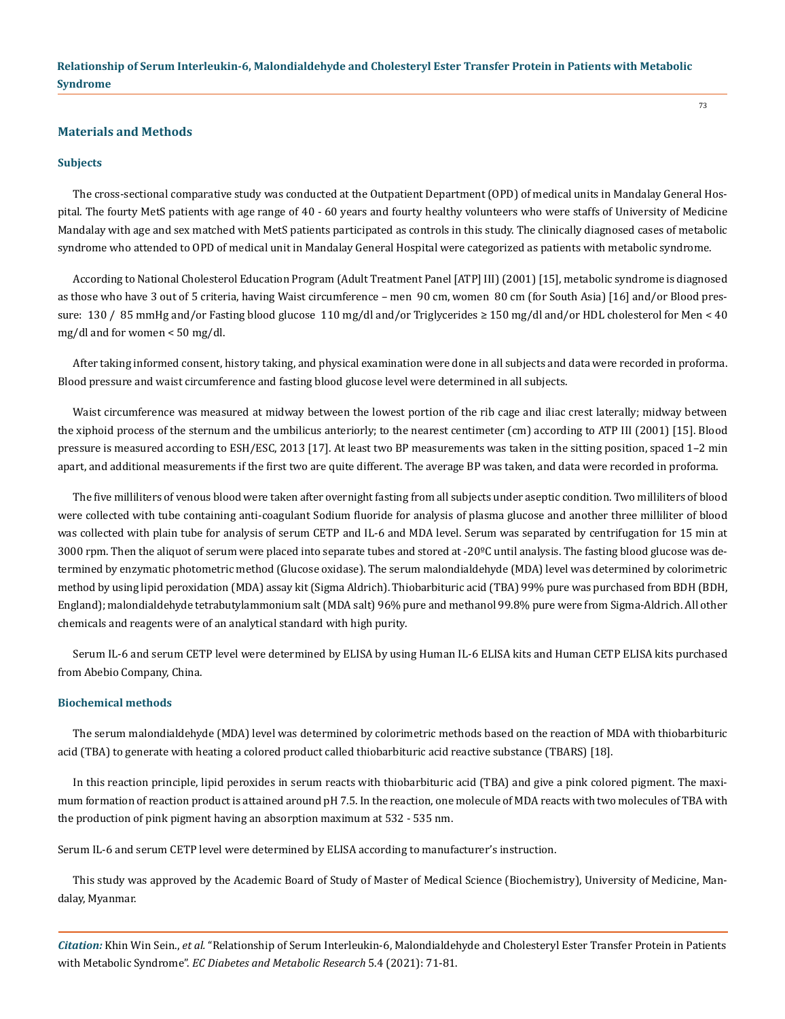#### **Materials and Methods**

#### **Subjects**

The cross-sectional comparative study was conducted at the Outpatient Department (OPD) of medical units in Mandalay General Hospital. The fourty MetS patients with age range of 40 - 60 years and fourty healthy volunteers who were staffs of University of Medicine Mandalay with age and sex matched with MetS patients participated as controls in this study. The clinically diagnosed cases of metabolic syndrome who attended to OPD of medical unit in Mandalay General Hospital were categorized as patients with metabolic syndrome.

According to National Cholesterol Education Program (Adult Treatment Panel [ATP] III) (2001) [15], metabolic syndrome is diagnosed as those who have 3 out of 5 criteria, having Waist circumference – men 90 cm, women 80 cm (for South Asia) [16] and/or Blood pressure: 130 / 85 mmHg and/or Fasting blood glucose 110 mg/dl and/or Triglycerides ≥ 150 mg/dl and/or HDL cholesterol for Men < 40 mg/dl and for women < 50 mg/dl.

After taking informed consent, history taking, and physical examination were done in all subjects and data were recorded in proforma. Blood pressure and waist circumference and fasting blood glucose level were determined in all subjects.

Waist circumference was measured at midway between the lowest portion of the rib cage and iliac crest laterally; midway between the xiphoid process of the sternum and the umbilicus anteriorly; to the nearest centimeter (cm) according to ATP III (2001) [15]. Blood pressure is measured according to ESH/ESC, 2013 [17]. At least two BP measurements was taken in the sitting position, spaced 1–2 min apart, and additional measurements if the first two are quite different. The average BP was taken, and data were recorded in proforma.

The five milliliters of venous blood were taken after overnight fasting from all subjects under aseptic condition. Two milliliters of blood were collected with tube containing anti-coagulant Sodium fluoride for analysis of plasma glucose and another three milliliter of blood was collected with plain tube for analysis of serum CETP and IL-6 and MDA level. Serum was separated by centrifugation for 15 min at 3000 rpm. Then the aliquot of serum were placed into separate tubes and stored at -20ºC until analysis. The fasting blood glucose was determined by enzymatic photometric method (Glucose oxidase). The serum malondialdehyde (MDA) level was determined by colorimetric method by using lipid peroxidation (MDA) assay kit (Sigma Aldrich). Thiobarbituric acid (TBA) 99% pure was purchased from BDH (BDH, England); malondialdehyde tetrabutylammonium salt (MDA salt) 96% pure and methanol 99.8% pure were from Sigma-Aldrich. All other chemicals and reagents were of an analytical standard with high purity.

Serum IL-6 and serum CETP level were determined by ELISA by using Human IL-6 ELISA kits and Human CETP ELISA kits purchased from Abebio Company, China.

#### **Biochemical methods**

The serum malondialdehyde (MDA) level was determined by colorimetric methods based on the reaction of MDA with thiobarbituric acid (TBA) to generate with heating a colored product called thiobarbituric acid reactive substance (TBARS) [18].

In this reaction principle, lipid peroxides in serum reacts with thiobarbituric acid (TBA) and give a pink colored pigment. The maximum formation of reaction product is attained around pH 7.5. In the reaction, one molecule of MDA reacts with two molecules of TBA with the production of pink pigment having an absorption maximum at 532 - 535 nm.

Serum IL-6 and serum CETP level were determined by ELISA according to manufacturer's instruction.

This study was approved by the Academic Board of Study of Master of Medical Science (Biochemistry), University of Medicine, Mandalay, Myanmar.

*Citation:* Khin Win Sein., *et al.* "Relationship of Serum Interleukin-6, Malondialdehyde and Cholesteryl Ester Transfer Protein in Patients with Metabolic Syndrome". *EC Diabetes and Metabolic Research* 5.4 (2021): 71-81.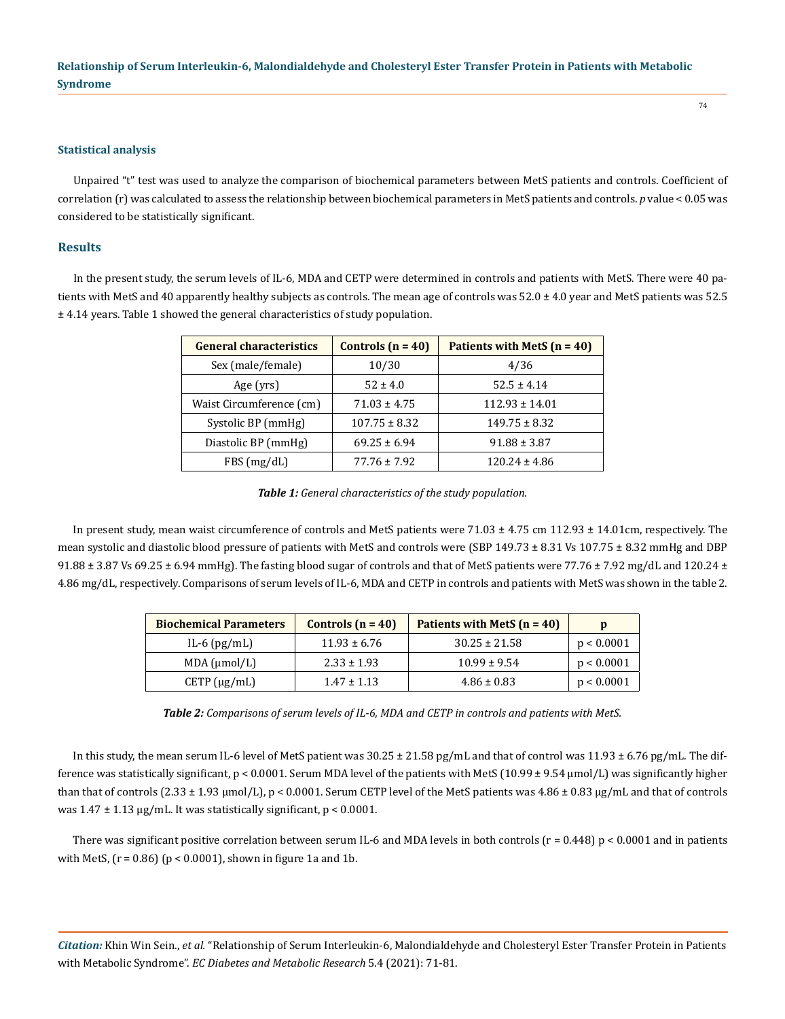#### **Statistical analysis**

Unpaired "t" test was used to analyze the comparison of biochemical parameters between MetS patients and controls. Coefficient of correlation (r) was calculated to assess the relationship between biochemical parameters in MetS patients and controls. *p* value < 0.05 was considered to be statistically significant.

#### **Results**

In the present study, the serum levels of IL-6, MDA and CETP were determined in controls and patients with MetS. There were 40 patients with MetS and 40 apparently healthy subjects as controls. The mean age of controls was  $52.0 \pm 4.0$  year and MetS patients was  $52.5$ ± 4.14 years. Table 1 showed the general characteristics of study population.

| <b>General characteristics</b> | Patients with MetS $(n = 40)$<br>Controls $(n = 40)$ |                    |
|--------------------------------|------------------------------------------------------|--------------------|
| Sex (male/female)              | 10/30                                                | 4/36               |
| Age (yrs)                      | $52 \pm 4.0$                                         | $52.5 \pm 4.14$    |
| Waist Circumference (cm)       | $71.03 \pm 4.75$                                     | $112.93 \pm 14.01$ |
| Systolic BP (mmHg)             | $107.75 \pm 8.32$                                    | $149.75 \pm 8.32$  |
| Diastolic BP (mmHg)            | $69.25 \pm 6.94$                                     | $91.88 \pm 3.87$   |
| FBS(mg/dL)                     | $77.76 \pm 7.92$                                     | $120.24 \pm 4.86$  |

*Table 1: General characteristics of the study population.*

In present study, mean waist circumference of controls and MetS patients were 71.03 ± 4.75 cm 112.93 ± 14.01cm, respectively. The mean systolic and diastolic blood pressure of patients with MetS and controls were (SBP 149.73 ± 8.31 Vs 107.75 ± 8.32 mmHg and DBP  $91.88 \pm 3.87$  Vs 69.25  $\pm$  6.94 mmHg). The fasting blood sugar of controls and that of MetS patients were 77.76  $\pm$  7.92 mg/dL and 120.24  $\pm$ 4.86 mg/dL, respectively. Comparisons of serum levels of IL-6, MDA and CETP in controls and patients with MetS was shown in the table 2.

| <b>Biochemical Parameters</b> | Controls $(n = 40)$ | Patients with MetS $(n = 40)$ | D          |
|-------------------------------|---------------------|-------------------------------|------------|
| IL-6 $(pg/mL)$                | $11.93 \pm 6.76$    | $30.25 \pm 21.58$             | p < 0.0001 |
| MDA (µmol/L)                  | $2.33 \pm 1.93$     | $10.99 \pm 9.54$              | p < 0.0001 |
| $CETP(\mu g/mL)$              | $1.47 \pm 1.13$     | $4.86 \pm 0.83$               | p < 0.0001 |

*Table 2: Comparisons of serum levels of IL-6, MDA and CETP in controls and patients with MetS.*

In this study, the mean serum IL-6 level of MetS patient was 30.25 ± 21.58 pg/mL and that of control was 11.93 ± 6.76 pg/mL. The difference was statistically significant,  $p < 0.0001$ . Serum MDA level of the patients with MetS (10.99  $\pm$  9.54 µmol/L) was significantly higher than that of controls  $(2.33 \pm 1.93 \,\mu mol/L)$ , p < 0.0001. Serum CETP level of the MetS patients was  $4.86 \pm 0.83 \,\mu g/mL$  and that of controls was  $1.47 \pm 1.13 \,\mu$ g/mL. It was statistically significant, p < 0.0001.

There was significant positive correlation between serum IL-6 and MDA levels in both controls  $(r = 0.448)$  p < 0.0001 and in patients with MetS,  $(r = 0.86)$   $(p < 0.0001)$ , shown in figure 1a and 1b.

*Citation:* Khin Win Sein., *et al.* "Relationship of Serum Interleukin-6, Malondialdehyde and Cholesteryl Ester Transfer Protein in Patients with Metabolic Syndrome". *EC Diabetes and Metabolic Research* 5.4 (2021): 71-81.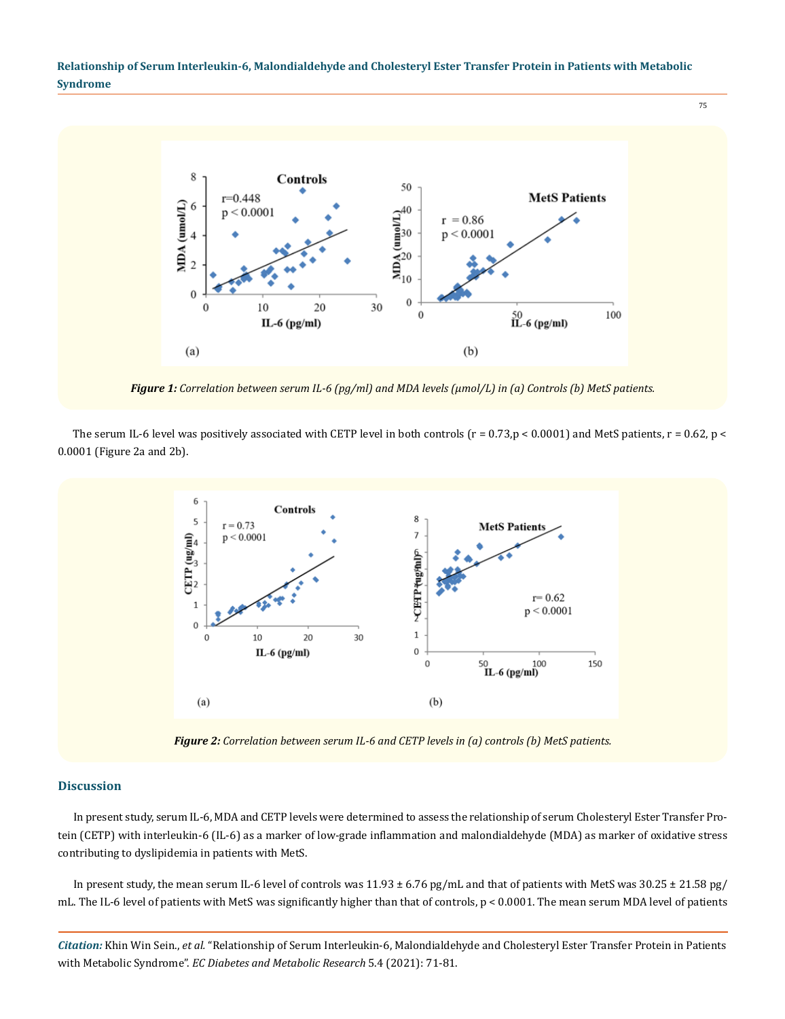75



*Figure 1: Correlation between serum IL-6 (pg/ml) and MDA levels (µmol/L) in (a) Controls (b) MetS patients.*

The serum IL-6 level was positively associated with CETP level in both controls ( $r = 0.73$ ,p < 0.0001) and MetS patients,  $r = 0.62$ , p < 0.0001 (Figure 2a and 2b).



*Figure 2: Correlation between serum IL-6 and CETP levels in (a) controls (b) MetS patients.*

#### **Discussion**

In present study, serum IL-6, MDA and CETP levels were determined to assess the relationship of serum Cholesteryl Ester Transfer Protein (CETP) with interleukin-6 (IL-6) as a marker of low-grade inflammation and malondialdehyde (MDA) as marker of oxidative stress contributing to dyslipidemia in patients with MetS.

In present study, the mean serum IL-6 level of controls was  $11.93 \pm 6.76$  pg/mL and that of patients with MetS was  $30.25 \pm 21.58$  pg/ mL. The IL-6 level of patients with MetS was significantly higher than that of controls, p < 0.0001. The mean serum MDA level of patients

*Citation:* Khin Win Sein., *et al.* "Relationship of Serum Interleukin-6, Malondialdehyde and Cholesteryl Ester Transfer Protein in Patients with Metabolic Syndrome". *EC Diabetes and Metabolic Research* 5.4 (2021): 71-81.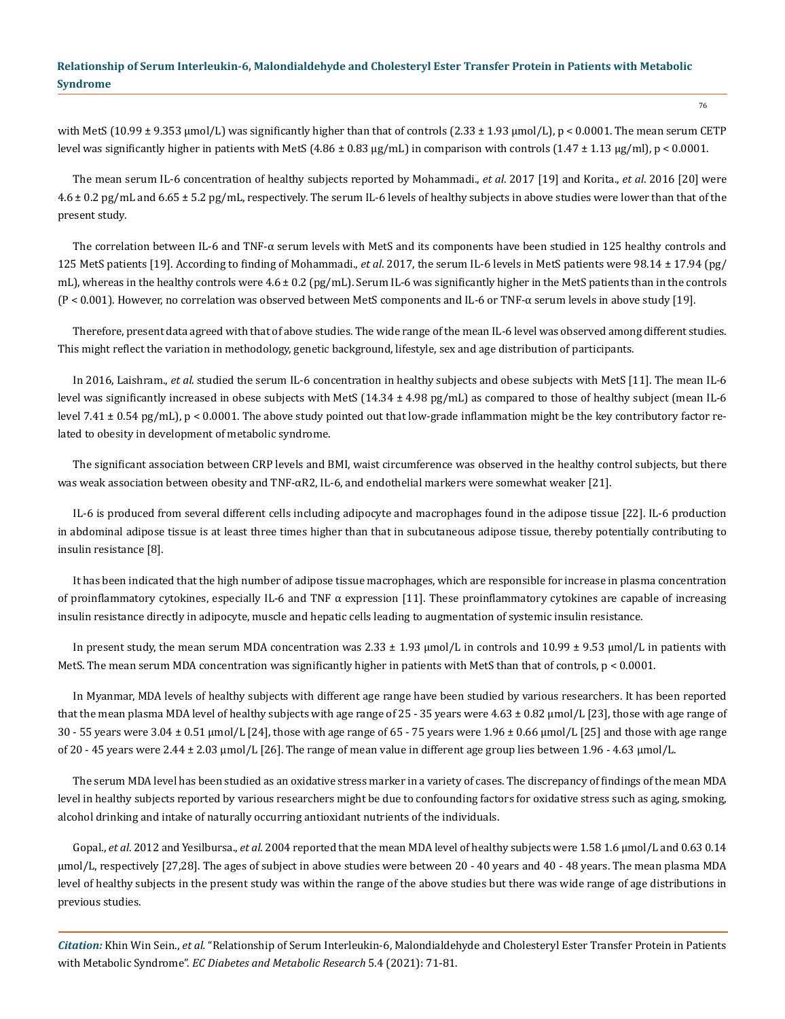with MetS (10.99  $\pm$  9.353 µmol/L) was significantly higher than that of controls (2.33  $\pm$  1.93 µmol/L), p < 0.0001. The mean serum CETP level was significantly higher in patients with MetS (4.86  $\pm$  0.83 µg/mL) in comparison with controls (1.47  $\pm$  1.13 µg/ml), p < 0.0001.

The mean serum IL-6 concentration of healthy subjects reported by Mohammadi., *et al*. 2017 [19] and Korita., *et al*. 2016 [20] were 4.6 ± 0.2 pg/mL and 6.65 ± 5.2 pg/mL, respectively. The serum IL-6 levels of healthy subjects in above studies were lower than that of the present study.

The correlation between IL-6 and TNF-α serum levels with MetS and its components have been studied in 125 healthy controls and 125 MetS patients [19]. According to finding of Mohammadi., *et al*. 2017, the serum IL-6 levels in MetS patients were 98.14 ± 17.94 (pg/ mL), whereas in the healthy controls were  $4.6 \pm 0.2$  (pg/mL). Serum IL-6 was significantly higher in the MetS patients than in the controls (P < 0.001). However, no correlation was observed between MetS components and IL-6 or TNF-α serum levels in above study [19].

Therefore, present data agreed with that of above studies. The wide range of the mean IL-6 level was observed among different studies. This might reflect the variation in methodology, genetic background, lifestyle, sex and age distribution of participants.

In 2016, Laishram., *et al*. studied the serum IL-6 concentration in healthy subjects and obese subjects with MetS [11]. The mean IL-6 level was significantly increased in obese subjects with MetS (14.34 ± 4.98 pg/mL) as compared to those of healthy subject (mean IL-6 level 7.41 ± 0.54 pg/mL), p < 0.0001. The above study pointed out that low-grade inflammation might be the key contributory factor related to obesity in development of metabolic syndrome.

The significant association between CRP levels and BMI, waist circumference was observed in the healthy control subjects, but there was weak association between obesity and TNF- $\alpha$ R2, IL-6, and endothelial markers were somewhat weaker [21].

IL-6 is produced from several different cells including adipocyte and macrophages found in the adipose tissue [22]. IL-6 production in abdominal adipose tissue is at least three times higher than that in subcutaneous adipose tissue, thereby potentially contributing to insulin resistance [8].

It has been indicated that the high number of adipose tissue macrophages, which are responsible for increase in plasma concentration of proinflammatory cytokines, especially IL-6 and TNF  $\alpha$  expression [11]. These proinflammatory cytokines are capable of increasing insulin resistance directly in adipocyte, muscle and hepatic cells leading to augmentation of systemic insulin resistance.

In present study, the mean serum MDA concentration was  $2.33 \pm 1.93$  µmol/L in controls and  $10.99 \pm 9.53$  µmol/L in patients with MetS. The mean serum MDA concentration was significantly higher in patients with MetS than that of controls,  $p < 0.0001$ .

In Myanmar, MDA levels of healthy subjects with different age range have been studied by various researchers. It has been reported that the mean plasma MDA level of healthy subjects with age range of 25 - 35 years were 4.63 ± 0.82 µmol/L [23], those with age range of  $30 - 55$  years were  $3.04 \pm 0.51$  µmol/L [24], those with age range of 65 - 75 years were  $1.96 \pm 0.66$  µmol/L [25] and those with age range of 20 - 45 years were 2.44  $\pm$  2.03  $\mu$ mol/L [26]. The range of mean value in different age group lies between 1.96 - 4.63  $\mu$ mol/L.

The serum MDA level has been studied as an oxidative stress marker in a variety of cases. The discrepancy of findings of the mean MDA level in healthy subjects reported by various researchers might be due to confounding factors for oxidative stress such as aging, smoking, alcohol drinking and intake of naturally occurring antioxidant nutrients of the individuals.

Gopal., *et al*. 2012 and Yesilbursa., *et al*. 2004 reported that the mean MDA level of healthy subjects were 1.58 1.6 µmol/L and 0.63 0.14 µmol/L, respectively [27,28]. The ages of subject in above studies were between 20 - 40 years and 40 - 48 years. The mean plasma MDA level of healthy subjects in the present study was within the range of the above studies but there was wide range of age distributions in previous studies.

*Citation:* Khin Win Sein., *et al.* "Relationship of Serum Interleukin-6, Malondialdehyde and Cholesteryl Ester Transfer Protein in Patients with Metabolic Syndrome". *EC Diabetes and Metabolic Research* 5.4 (2021): 71-81.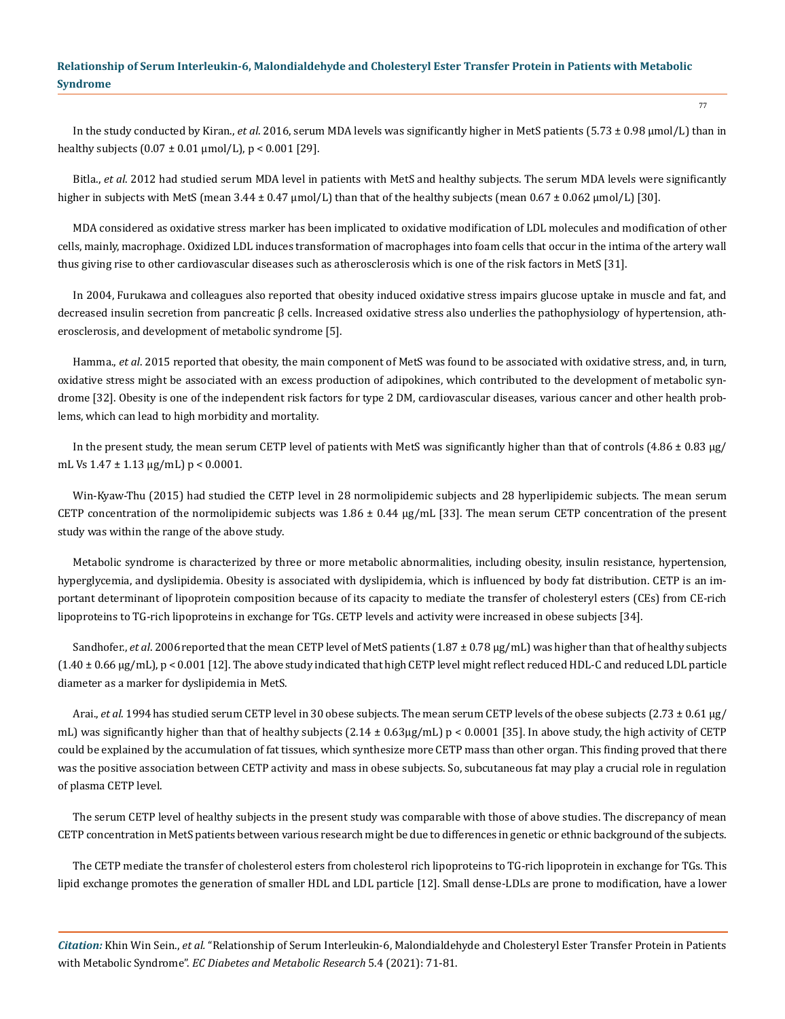In the study conducted by Kiran., *et al*. 2016, serum MDA levels was significantly higher in MetS patients (5.73 ± 0.98 µmol/L) than in healthy subjects  $(0.07 \pm 0.01 \,\mu\text{mol/L})$ , p < 0.001 [29].

Bitla., *et al*. 2012 had studied serum MDA level in patients with MetS and healthy subjects. The serum MDA levels were significantly higher in subjects with MetS (mean  $3.44 \pm 0.47$  µmol/L) than that of the healthy subjects (mean  $0.67 \pm 0.062$  µmol/L) [30].

MDA considered as oxidative stress marker has been implicated to oxidative modification of LDL molecules and modification of other cells, mainly, macrophage. Oxidized LDL induces transformation of macrophages into foam cells that occur in the intima of the artery wall thus giving rise to other cardiovascular diseases such as atherosclerosis which is one of the risk factors in MetS [31].

In 2004, Furukawa and colleagues also reported that obesity induced oxidative stress impairs glucose uptake in muscle and fat, and decreased insulin secretion from pancreatic β cells. Increased oxidative stress also underlies the pathophysiology of hypertension, atherosclerosis, and development of metabolic syndrome [5].

Hamma., *et al*. 2015 reported that obesity, the main component of MetS was found to be associated with oxidative stress, and, in turn, oxidative stress might be associated with an excess production of adipokines, which contributed to the development of metabolic syndrome [32]. Obesity is one of the independent risk factors for type 2 DM, cardiovascular diseases, various cancer and other health problems, which can lead to high morbidity and mortality.

In the present study, the mean serum CETP level of patients with MetS was significantly higher than that of controls (4.86  $\pm$  0.83 µg/ mL Vs  $1.47 \pm 1.13 \mu g/mL$  p < 0.0001.

Win-Kyaw-Thu (2015) had studied the CETP level in 28 normolipidemic subjects and 28 hyperlipidemic subjects. The mean serum CETP concentration of the normolipidemic subjects was  $1.86 \pm 0.44$  µg/mL [33]. The mean serum CETP concentration of the present study was within the range of the above study.

Metabolic syndrome is characterized by three or more metabolic abnormalities, including obesity, insulin resistance, hypertension, hyperglycemia, and dyslipidemia. Obesity is associated with dyslipidemia, which is influenced by body fat distribution. CETP is an important determinant of lipoprotein composition because of its capacity to mediate the transfer of cholesteryl esters (CEs) from CE-rich lipoproteins to TG-rich lipoproteins in exchange for TGs. CETP levels and activity were increased in obese subjects [34].

Sandhofer., *et al.* 2006 reported that the mean CETP level of MetS patients (1.87 ± 0.78 µg/mL) was higher than that of healthy subjects  $(1.40 \pm 0.66 \,\mu g/mL)$ , p < 0.001 [12]. The above study indicated that high CETP level might reflect reduced HDL-C and reduced LDL particle diameter as a marker for dyslipidemia in MetS.

Arai., *et al*. 1994has studied serum CETP level in 30 obese subjects. The mean serum CETP levels of the obese subjects (2.73 ± 0.61 µg/ mL) was significantly higher than that of healthy subjects  $(2.14 \pm 0.63\mu g/mL) p < 0.0001$  [35]. In above study, the high activity of CETP could be explained by the accumulation of fat tissues, which synthesize more CETP mass than other organ. This finding proved that there was the positive association between CETP activity and mass in obese subjects. So, subcutaneous fat may play a crucial role in regulation of plasma CETP level.

The serum CETP level of healthy subjects in the present study was comparable with those of above studies. The discrepancy of mean CETP concentration in MetS patients between various research might be due to differences in genetic or ethnic background of the subjects.

The CETP mediate the transfer of cholesterol esters from cholesterol rich lipoproteins to TG-rich lipoprotein in exchange for TGs. This lipid exchange promotes the generation of smaller HDL and LDL particle [12]. Small dense-LDLs are prone to modification, have a lower

*Citation:* Khin Win Sein., *et al.* "Relationship of Serum Interleukin-6, Malondialdehyde and Cholesteryl Ester Transfer Protein in Patients with Metabolic Syndrome". *EC Diabetes and Metabolic Research* 5.4 (2021): 71-81.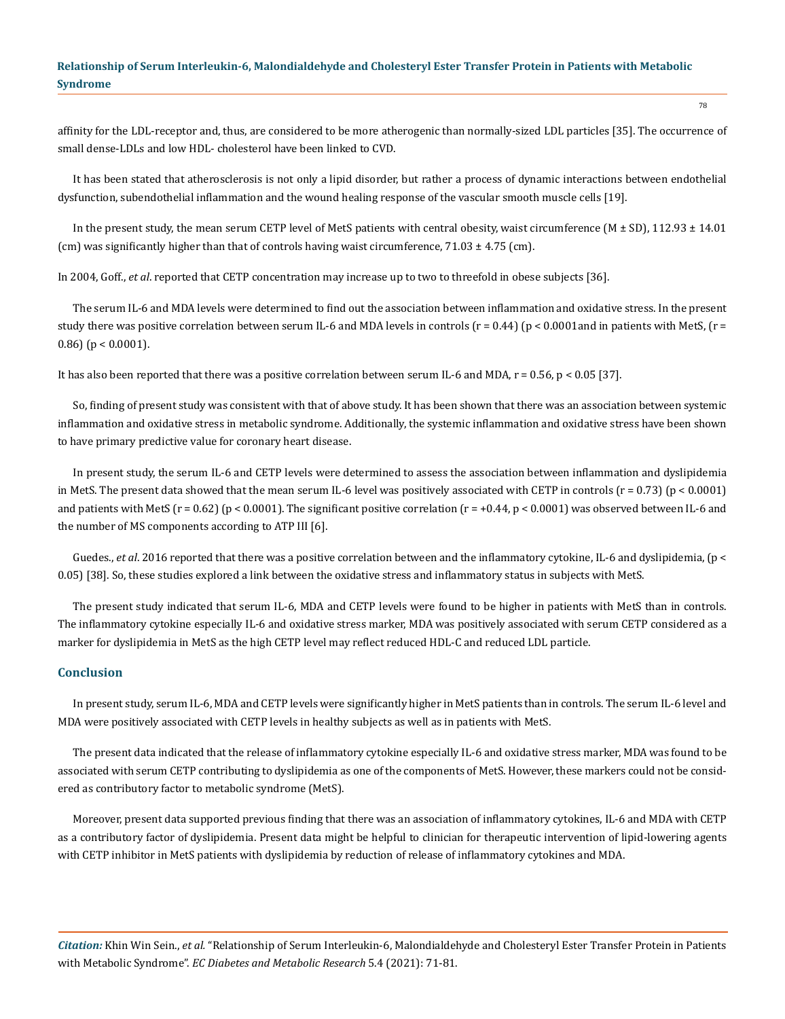affinity for the LDL-receptor and, thus, are considered to be more atherogenic than normally-sized LDL particles [35]. The occurrence of small dense-LDLs and low HDL- cholesterol have been linked to CVD.

It has been stated that atherosclerosis is not only a lipid disorder, but rather a process of dynamic interactions between endothelial dysfunction, subendothelial inflammation and the wound healing response of the vascular smooth muscle cells [19].

In the present study, the mean serum CETP level of MetS patients with central obesity, waist circumference (M  $\pm$  SD), 112.93  $\pm$  14.01 (cm) was significantly higher than that of controls having waist circumference,  $71.03 \pm 4.75$  (cm).

In 2004, Goff., *et al*. reported that CETP concentration may increase up to two to threefold in obese subjects [36].

The serum IL-6 and MDA levels were determined to find out the association between inflammation and oxidative stress. In the present study there was positive correlation between serum IL-6 and MDA levels in controls ( $r = 0.44$ ) ( $p < 0.0001$  and in patients with MetS, ( $r = 0.44$ ) 0.86) ( $p < 0.0001$ ).

It has also been reported that there was a positive correlation between serum IL-6 and MDA,  $r = 0.56$ ,  $p < 0.05$  [37].

So, finding of present study was consistent with that of above study. It has been shown that there was an association between systemic inflammation and oxidative stress in metabolic syndrome. Additionally, the systemic inflammation and oxidative stress have been shown to have primary predictive value for coronary heart disease.

In present study, the serum IL-6 and CETP levels were determined to assess the association between inflammation and dyslipidemia in MetS. The present data showed that the mean serum IL-6 level was positively associated with CETP in controls  $(r = 0.73)$  ( $p < 0.0001$ ) and patients with MetS ( $r = 0.62$ ) ( $p < 0.0001$ ). The significant positive correlation ( $r = +0.44$ ,  $p < 0.0001$ ) was observed between IL-6 and the number of MS components according to ATP III [6].

Guedes., *et al.* 2016 reported that there was a positive correlation between and the inflammatory cytokine, IL-6 and dyslipidemia, (p < 0.05) [38]. So, these studies explored a link between the oxidative stress and inflammatory status in subjects with MetS.

The present study indicated that serum IL-6, MDA and CETP levels were found to be higher in patients with MetS than in controls. The inflammatory cytokine especially IL-6 and oxidative stress marker, MDA was positively associated with serum CETP considered as a marker for dyslipidemia in MetS as the high CETP level may reflect reduced HDL-C and reduced LDL particle.

## **Conclusion**

In present study, serum IL-6, MDA and CETP levels were significantly higher in MetS patients than in controls. The serum IL-6 level and MDA were positively associated with CETP levels in healthy subjects as well as in patients with MetS.

The present data indicated that the release of inflammatory cytokine especially IL-6 and oxidative stress marker, MDA was found to be associated with serum CETP contributing to dyslipidemia as one of the components of MetS. However, these markers could not be considered as contributory factor to metabolic syndrome (MetS).

Moreover, present data supported previous finding that there was an association of inflammatory cytokines, IL-6 and MDA with CETP as a contributory factor of dyslipidemia. Present data might be helpful to clinician for therapeutic intervention of lipid-lowering agents with CETP inhibitor in MetS patients with dyslipidemia by reduction of release of inflammatory cytokines and MDA.

*Citation:* Khin Win Sein., *et al.* "Relationship of Serum Interleukin-6, Malondialdehyde and Cholesteryl Ester Transfer Protein in Patients with Metabolic Syndrome". *EC Diabetes and Metabolic Research* 5.4 (2021): 71-81.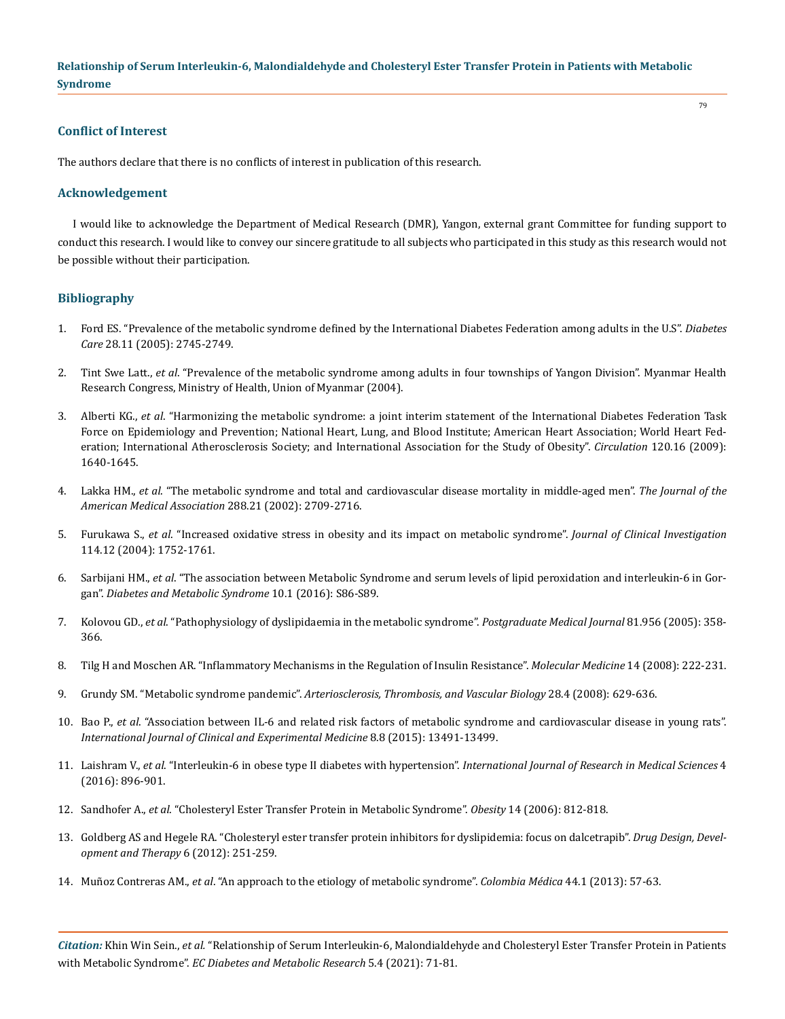## **Conflict of Interest**

The authors declare that there is no conflicts of interest in publication of this research.

#### **Acknowledgement**

I would like to acknowledge the Department of Medical Research (DMR), Yangon, external grant Committee for funding support to conduct this research. I would like to convey our sincere gratitude to all subjects who participated in this study as this research would not be possible without their participation.

## **Bibliography**

- 1. [Ford ES. "Prevalence of the metabolic syndrome defined by the International Diabetes Federation among adults in the U.S".](https://pubmed.ncbi.nlm.nih.gov/16249550/) *Diabetes Care* [28.11 \(2005\): 2745-2749.](https://pubmed.ncbi.nlm.nih.gov/16249550/)
- 2. Tint Swe Latt., *et al*. "Prevalence of the metabolic syndrome among adults in four townships of Yangon Division". Myanmar Health Research Congress, Ministry of Health, Union of Myanmar (2004).
- 3. Alberti KG., *et al*[. "Harmonizing the metabolic syndrome: a joint interim statement of the International Diabetes Federation Task](https://pubmed.ncbi.nlm.nih.gov/19805654/)  [Force on Epidemiology and Prevention; National Heart, Lung, and Blood Institute; American Heart Association; World Heart Fed](https://pubmed.ncbi.nlm.nih.gov/19805654/)[eration; International Atherosclerosis Society; and International Association for the Study of Obesity".](https://pubmed.ncbi.nlm.nih.gov/19805654/) *Circulation* 120.16 (2009): [1640-1645.](https://pubmed.ncbi.nlm.nih.gov/19805654/)
- 4. Lakka HM., *et al*[. "The metabolic syndrome and total and cardiovascular disease mortality in middle-aged men".](https://pubmed.ncbi.nlm.nih.gov/12460094/) *The Journal of the [American Medical Association](https://pubmed.ncbi.nlm.nih.gov/12460094/)* 288.21 (2002): 2709-2716.
- 5. Furukawa S., *et al*[. "Increased oxidative stress in obesity and its impact on metabolic syndrome".](https://pubmed.ncbi.nlm.nih.gov/15599400/) *Journal of Clinical Investigation* [114.12 \(2004\): 1752-1761.](https://pubmed.ncbi.nlm.nih.gov/15599400/)
- 6. Sarbijani HM., *et al*[. "The association between Metabolic Syndrome and serum levels of lipid peroxidation and interleukin-6 in Gor](https://www.sciencedirect.com/science/article/abs/pii/S1871402115300266)gan". *[Diabetes and Metabolic Syndrome](https://www.sciencedirect.com/science/article/abs/pii/S1871402115300266)* 10.1 (2016): S86-S89.
- 7. Kolovou GD., *et al*[. "Pathophysiology of dyslipidaemia in the metabolic syndrome".](https://www.ncbi.nlm.nih.gov/pmc/articles/PMC1743285/) *Postgraduate Medical Journal* 81.956 (2005): 358- [366.](https://www.ncbi.nlm.nih.gov/pmc/articles/PMC1743285/)
- 8. [Tilg H and Moschen AR. "Inflammatory Mechanisms in the Regulation of Insulin Resistance".](https://www.ncbi.nlm.nih.gov/pmc/articles/PMC2215762/) *Molecular Medicine* 14 (2008): 222-231.
- 9. Grundy SM. "Metabolic syndrome pandemic". *[Arteriosclerosis, Thrombosis, and Vascular Biology](https://pubmed.ncbi.nlm.nih.gov/18174459/)* 28.4 (2008): 629-636.
- 10. Bao P., *et al*[. "Association between IL-6 and related risk factors of metabolic syndrome and cardiovascular disease in young rats".](https://pubmed.ncbi.nlm.nih.gov/26550286/)  *[International Journal of Clinical and Experimental Medicine](https://pubmed.ncbi.nlm.nih.gov/26550286/)* 8.8 (2015): 13491-13499.
- 11. Laishram V., *et al*[. "Interleukin-6 in obese type II diabetes with hypertension".](https://www.msjonline.org/index.php/ijrms/article/view/608/0) *International Journal of Research in Medical Sciences* 4 [\(2016\): 896-901.](https://www.msjonline.org/index.php/ijrms/article/view/608/0)
- 12. Sandhofer A., *et al*[. "Cholesteryl Ester Transfer Protein in Metabolic Syndrome".](https://onlinelibrary.wiley.com/doi/pdf/10.1038/oby.2006.94) *Obesity* 14 (2006): 812-818.
- 13. [Goldberg AS and Hegele RA. "Cholesteryl ester transfer protein inhibitors for dyslipidemia: focus on dalcetrapib".](https://www.ncbi.nlm.nih.gov/pmc/articles/PMC3460676/) *Drug Design, Devel[opment and Therapy](https://www.ncbi.nlm.nih.gov/pmc/articles/PMC3460676/)* 6 (2012): 251-259.
- 14. Muñoz Contreras AM., *et al*[. "An approach to the etiology of metabolic syndrome".](https://pubmed.ncbi.nlm.nih.gov/24892324/) *Colombia Médica* 44.1 (2013): 57-63.

*Citation:* Khin Win Sein., *et al.* "Relationship of Serum Interleukin-6, Malondialdehyde and Cholesteryl Ester Transfer Protein in Patients with Metabolic Syndrome". *EC Diabetes and Metabolic Research* 5.4 (2021): 71-81.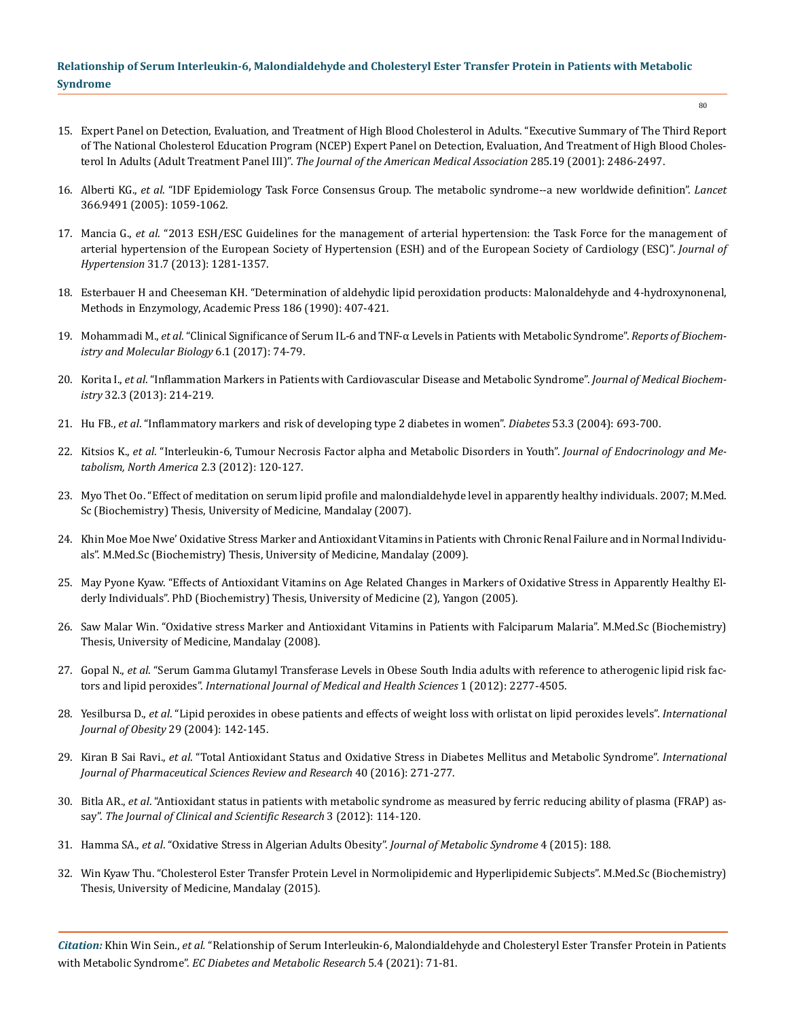- 15. [Expert Panel on Detection, Evaluation, and Treatment of High Blood Cholesterol in Adults. "Executive Summary of The Third Report](https://pubmed.ncbi.nlm.nih.gov/11368702/)  [of The National Cholesterol Education Program \(NCEP\) Expert Panel on Detection, Evaluation, And Treatment of High Blood Choles](https://pubmed.ncbi.nlm.nih.gov/11368702/)terol In Adults (Adult Treatment Panel III)". *[The Journal of the American Medical Association](https://pubmed.ncbi.nlm.nih.gov/11368702/)* 285.19 (2001): 2486-2497.
- 16. Alberti KG., *et al*[. "IDF Epidemiology Task Force Consensus Group. The metabolic syndrome--a new worldwide definition".](https://pubmed.ncbi.nlm.nih.gov/16182882/) *Lancet* [366.9491 \(2005\): 1059-1062.](https://pubmed.ncbi.nlm.nih.gov/16182882/)
- 17. Mancia G., *et al*[. "2013 ESH/ESC Guidelines for the management of arterial hypertension: the Task Force for the management of](https://pubmed.ncbi.nlm.nih.gov/23817082/)  [arterial hypertension of the European Society of Hypertension \(ESH\) and of the European Society of Cardiology \(ESC\)".](https://pubmed.ncbi.nlm.nih.gov/23817082/) *Journal of Hypertension* [31.7 \(2013\): 1281-1357.](https://pubmed.ncbi.nlm.nih.gov/23817082/)
- 18. [Esterbauer H and Cheeseman KH. "Determination of aldehydic lipid peroxidation products: Malonaldehyde and 4-hydroxynonenal,](https://pubmed.ncbi.nlm.nih.gov/2233308/)  [Methods in Enzymology, Academic Press 186 \(1990\): 407-421.](https://pubmed.ncbi.nlm.nih.gov/2233308/)
- 19. Mohammadi M., *et al*[. "Clinical Significance of Serum IL-6 and TNF-α Levels in Patients with Metabolic Syndrome".](https://www.researchgate.net/publication/318836325_Clinical_Significance_of_Serum_IL-6_and_TNF-a_Levels_in_Patients_with_Metabolic_Syndrome) *Reports of Biochem[istry and Molecular Biology](https://www.researchgate.net/publication/318836325_Clinical_Significance_of_Serum_IL-6_and_TNF-a_Levels_in_Patients_with_Metabolic_Syndrome)* 6.1 (2017): 74-79.
- 20. Korita I., *et al*[. "Inflammation Markers in Patients with Cardiovascular Disease and Metabolic Syndrome".](https://sciendo.com/article/10.2478/jomb-2013-0016) *Journal of Medical Biochemistry* [32.3 \(2013\): 214-219.](https://sciendo.com/article/10.2478/jomb-2013-0016)
- 21. Hu FB., *et al*[. "Inflammatory markers and risk of developing type 2 diabetes in women".](https://pubmed.ncbi.nlm.nih.gov/14988254/) *Diabetes* 53.3 (2004): 693-700.
- 22. Kitsios K., *et al*[. "Interleukin-6, Tumour Necrosis Factor alpha and Metabolic Disorders in Youth".](https://www.jofem.org/index.php/jofem/article/view/111) *Journal of Endocrinology and Me[tabolism, North America](https://www.jofem.org/index.php/jofem/article/view/111)* 2.3 (2012): 120-127.
- 23. [Myo Thet Oo. "Effect of meditation on serum lipid profile and malondialdehyde level in apparently healthy individuals. 2007; M.Med.](https://medpulse.in/Physiology/Article/Volume3Issue3/Physiology_3_3_5.pdf) [Sc \(Biochemistry\) Thesis, University of Medicine, Mandalay \(2007\).](https://medpulse.in/Physiology/Article/Volume3Issue3/Physiology_3_3_5.pdf)
- 24. Khin Moe Moe Nwe' Oxidative Stress Marker and Antioxidant Vitamins in Patients with Chronic Renal Failure and in Normal Individuals". M.Med.Sc (Biochemistry) Thesis, University of Medicine, Mandalay (2009).
- 25. May Pyone Kyaw. "Effects of Antioxidant Vitamins on Age Related Changes in Markers of Oxidative Stress in Apparently Healthy Elderly Individuals". PhD (Biochemistry) Thesis, University of Medicine (2), Yangon (2005).
- 26. Saw Malar Win. "Oxidative stress Marker and Antioxidant Vitamins in Patients with Falciparum Malaria". M.Med.Sc (Biochemistry) Thesis, University of Medicine, Mandalay (2008).
- 27. Gopal N., *et al*[. "Serum Gamma Glutamyl Transferase Levels in Obese South India adults with reference to atherogenic lipid risk fac](https://www.researchgate.net/publication/230727818_Serum_Gamma_Glutamyl_Transferase_levels_in_Obese_South_Indian_adults_with_reference_to_atherogenic_lipid_risk_factors_and_lipid_peroxides)tors and lipid peroxides". *[International Journal of Medical and Health Sciences](https://www.researchgate.net/publication/230727818_Serum_Gamma_Glutamyl_Transferase_levels_in_Obese_South_Indian_adults_with_reference_to_atherogenic_lipid_risk_factors_and_lipid_peroxides)* 1 (2012): 2277-4505.
- 28. Yesilbursa D., *et al*[. "Lipid peroxides in obese patients and effects of weight loss with orlistat on lipid peroxides levels".](https://www.nature.com/articles/0802794) *International [Journal of Obesity](https://www.nature.com/articles/0802794)* 29 (2004): 142-145.
- 29. Kiran B Sai Ravi., *et al*[. "Total Antioxidant Status and Oxidative Stress in Diabetes Mellitus and Metabolic Syndrome".](https://globalresearchonline.net/journalcontents/v40-1/49.pdf) *International [Journal of Pharmaceutical Sciences Review and Research](https://globalresearchonline.net/journalcontents/v40-1/49.pdf)* 40 (2016): 271-277.
- 30. Bitla AR., *et al*[. "Antioxidant status in patients with metabolic syndrome as measured by ferric reducing ability of plasma \(FRAP\) as](https://www.researchgate.net/publication/246547330_Original_Article_Antioxidant_status_in_patients_with_metabolic_syndrome_as_measured_by_ferric_reducing_ability_of_plasma_FRAP_assay)say". *[The Journal of Clinical and Scientific Research](https://www.researchgate.net/publication/246547330_Original_Article_Antioxidant_status_in_patients_with_metabolic_syndrome_as_measured_by_ferric_reducing_ability_of_plasma_FRAP_assay)* 3 (2012): 114-120.
- 31. Hamma SA., *et al*[. "Oxidative Stress in Algerian Adults Obesity".](https://www.hilarispublisher.com/open-access/oxidative-stress-in-algerian-adults-obesity-2167-0943-1000188.pdf) *Journal of Metabolic Syndrome* 4 (2015): 188.
- 32. Win Kyaw Thu. "Cholesterol Ester Transfer Protein Level in Normolipidemic and Hyperlipidemic Subjects". M.Med.Sc (Biochemistry) Thesis, University of Medicine, Mandalay (2015).

*Citation:* Khin Win Sein., *et al.* "Relationship of Serum Interleukin-6, Malondialdehyde and Cholesteryl Ester Transfer Protein in Patients with Metabolic Syndrome". *EC Diabetes and Metabolic Research* 5.4 (2021): 71-81.